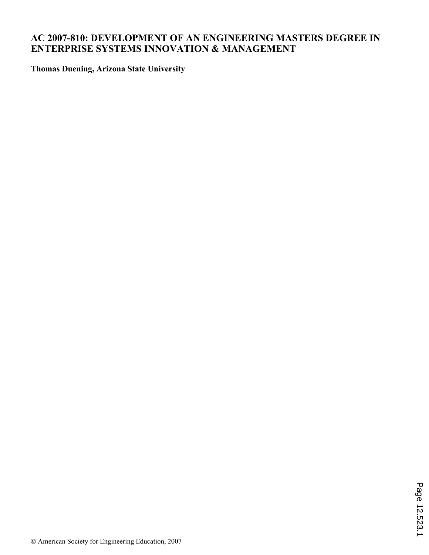# **AC 2007-810: DEVELOPMENT OF AN ENGINEERING MASTERS DEGREE IN ENTERPRISE SYSTEMS INNOVATION & MANAGEMENT**

**Thomas Duening, Arizona State University**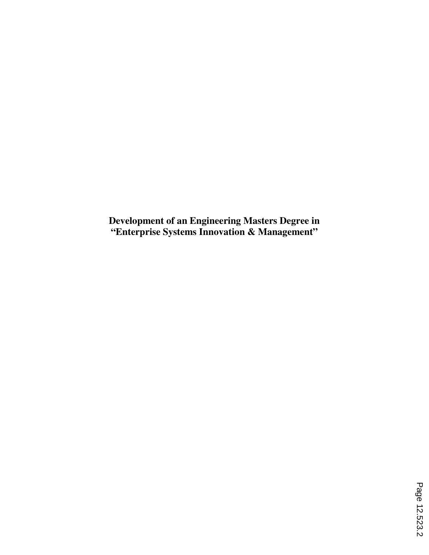**Development of an Engineering Masters Degree in "Enterprise Systems Innovation & Management"**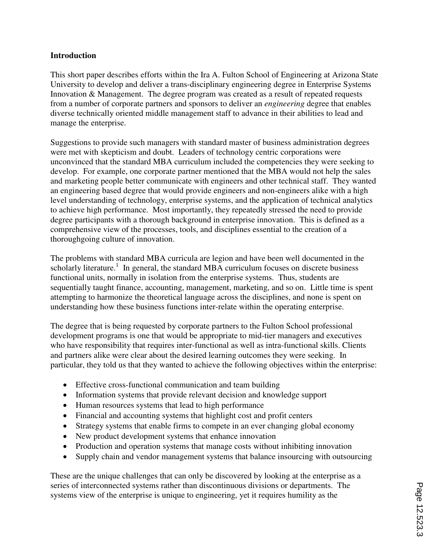### **Introduction**

This short paper describes efforts within the Ira A. Fulton School of Engineering at Arizona State University to develop and deliver a trans-disciplinary engineering degree in Enterprise Systems Innovation & Management. The degree program was created as a result of repeated requests from a number of corporate partners and sponsors to deliver an *engineering* degree that enables diverse technically oriented middle management staff to advance in their abilities to lead and manage the enterprise.

Suggestions to provide such managers with standard master of business administration degrees were met with skepticism and doubt. Leaders of technology centric corporations were unconvinced that the standard MBA curriculum included the competencies they were seeking to develop. For example, one corporate partner mentioned that the MBA would not help the sales and marketing people better communicate with engineers and other technical staff. They wanted an engineering based degree that would provide engineers and non-engineers alike with a high level understanding of technology, enterprise systems, and the application of technical analytics to achieve high performance. Most importantly, they repeatedly stressed the need to provide degree participants with a thorough background in enterprise innovation. This is defined as a comprehensive view of the processes, tools, and disciplines essential to the creation of a thoroughgoing culture of innovation.

The problems with standard MBA curricula are legion and have been well documented in the scholarly literature.<sup>1</sup> In general, the standard MBA curriculum focuses on discrete business functional units, normally in isolation from the enterprise systems. Thus, students are sequentially taught finance, accounting, management, marketing, and so on. Little time is spent attempting to harmonize the theoretical language across the disciplines, and none is spent on understanding how these business functions inter-relate within the operating enterprise.

The degree that is being requested by corporate partners to the Fulton School professional development programs is one that would be appropriate to mid-tier managers and executives who have responsibility that requires inter-functional as well as intra-functional skills. Clients and partners alike were clear about the desired learning outcomes they were seeking. In particular, they told us that they wanted to achieve the following objectives within the enterprise:

- Effective cross-functional communication and team building
- Information systems that provide relevant decision and knowledge support
- Human resources systems that lead to high performance
- Financial and accounting systems that highlight cost and profit centers
- Strategy systems that enable firms to compete in an ever changing global economy
- New product development systems that enhance innovation
- Production and operation systems that manage costs without inhibiting innovation
- Supply chain and vendor management systems that balance insourcing with outsourcing

These are the unique challenges that can only be discovered by looking at the enterprise as a series of interconnected systems rather than discontinuous divisions or departments. The systems view of the enterprise is unique to engineering, yet it requires humility as the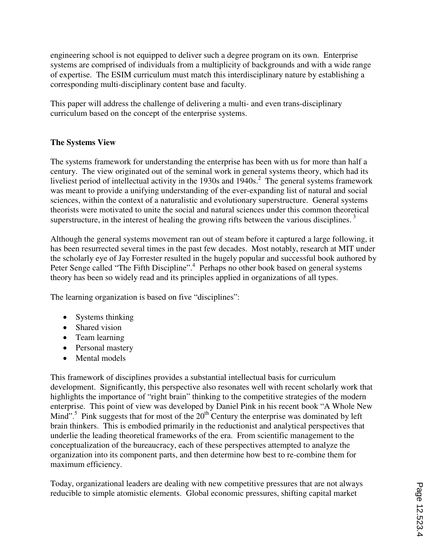engineering school is not equipped to deliver such a degree program on its own. Enterprise systems are comprised of individuals from a multiplicity of backgrounds and with a wide range of expertise. The ESIM curriculum must match this interdisciplinary nature by establishing a corresponding multi-disciplinary content base and faculty.

This paper will address the challenge of delivering a multi- and even trans-disciplinary curriculum based on the concept of the enterprise systems.

# **The Systems View**

The systems framework for understanding the enterprise has been with us for more than half a century. The view originated out of the seminal work in general systems theory, which had its liveliest period of intellectual activity in the 1930s and  $1940s$ <sup>2</sup>. The general systems framework was meant to provide a unifying understanding of the ever-expanding list of natural and social sciences, within the context of a naturalistic and evolutionary superstructure. General systems theorists were motivated to unite the social and natural sciences under this common theoretical superstructure, in the interest of healing the growing rifts between the various disciplines.<sup>3</sup>

Although the general systems movement ran out of steam before it captured a large following, it has been resurrected several times in the past few decades. Most notably, research at MIT under the scholarly eye of Jay Forrester resulted in the hugely popular and successful book authored by Peter Senge called "The Fifth Discipline".<sup>4</sup> Perhaps no other book based on general systems theory has been so widely read and its principles applied in organizations of all types.

The learning organization is based on five "disciplines":

- Systems thinking
- Shared vision
- Team learning
- Personal mastery
- Mental models

This framework of disciplines provides a substantial intellectual basis for curriculum development. Significantly, this perspective also resonates well with recent scholarly work that highlights the importance of "right brain" thinking to the competitive strategies of the modern enterprise. This point of view was developed by Daniel Pink in his recent book "A Whole New Mind".<sup>5</sup> Pink suggests that for most of the  $20<sup>th</sup>$  Century the enterprise was dominated by left brain thinkers. This is embodied primarily in the reductionist and analytical perspectives that underlie the leading theoretical frameworks of the era. From scientific management to the conceptualization of the bureaucracy, each of these perspectives attempted to analyze the organization into its component parts, and then determine how best to re-combine them for maximum efficiency.

Today, organizational leaders are dealing with new competitive pressures that are not always reducible to simple atomistic elements. Global economic pressures, shifting capital market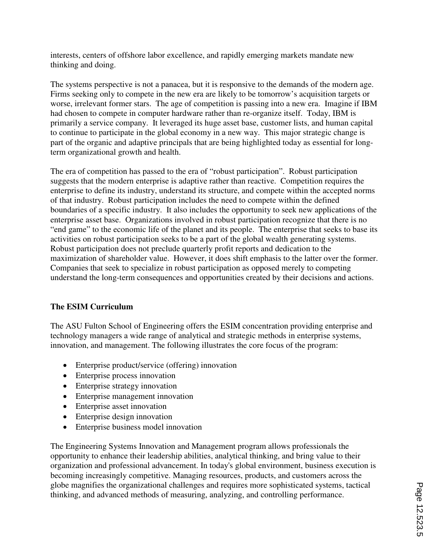interests, centers of offshore labor excellence, and rapidly emerging markets mandate new thinking and doing.

The systems perspective is not a panacea, but it is responsive to the demands of the modern age. Firms seeking only to compete in the new era are likely to be tomorrow's acquisition targets or worse, irrelevant former stars. The age of competition is passing into a new era. Imagine if IBM had chosen to compete in computer hardware rather than re-organize itself. Today, IBM is primarily a service company. It leveraged its huge asset base, customer lists, and human capital to continue to participate in the global economy in a new way. This major strategic change is part of the organic and adaptive principals that are being highlighted today as essential for longterm organizational growth and health.

The era of competition has passed to the era of "robust participation". Robust participation suggests that the modern enterprise is adaptive rather than reactive. Competition requires the enterprise to define its industry, understand its structure, and compete within the accepted norms of that industry. Robust participation includes the need to compete within the defined boundaries of a specific industry. It also includes the opportunity to seek new applications of the enterprise asset base. Organizations involved in robust participation recognize that there is no "end game" to the economic life of the planet and its people. The enterprise that seeks to base its activities on robust participation seeks to be a part of the global wealth generating systems. Robust participation does not preclude quarterly profit reports and dedication to the maximization of shareholder value. However, it does shift emphasis to the latter over the former. Companies that seek to specialize in robust participation as opposed merely to competing understand the long-term consequences and opportunities created by their decisions and actions.

# **The ESIM Curriculum**

The ASU Fulton School of Engineering offers the ESIM concentration providing enterprise and technology managers a wide range of analytical and strategic methods in enterprise systems, innovation, and management. The following illustrates the core focus of the program:

- Enterprise product/service (offering) innovation
- Enterprise process innovation
- Enterprise strategy innovation
- Enterprise management innovation
- Enterprise asset innovation
- Enterprise design innovation
- Enterprise business model innovation

The Engineering Systems Innovation and Management program allows professionals the opportunity to enhance their leadership abilities, analytical thinking, and bring value to their organization and professional advancement. In today's global environment, business execution is becoming increasingly competitive. Managing resources, products, and customers across the globe magnifies the organizational challenges and requires more sophisticated systems, tactical thinking, and advanced methods of measuring, analyzing, and controlling performance.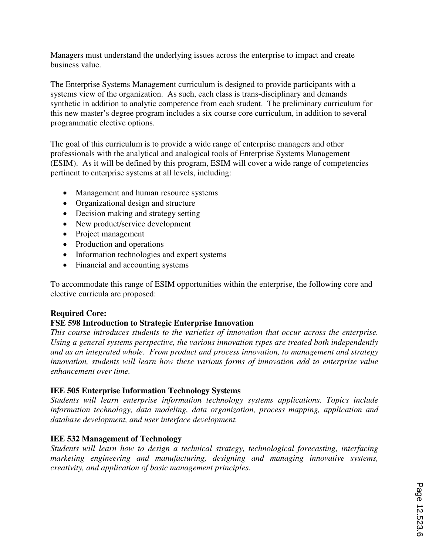Managers must understand the underlying issues across the enterprise to impact and create business value.

The Enterprise Systems Management curriculum is designed to provide participants with a systems view of the organization. As such, each class is trans-disciplinary and demands synthetic in addition to analytic competence from each student. The preliminary curriculum for this new master's degree program includes a six course core curriculum, in addition to several programmatic elective options.

The goal of this curriculum is to provide a wide range of enterprise managers and other professionals with the analytical and analogical tools of Enterprise Systems Management (ESIM). As it will be defined by this program, ESIM will cover a wide range of competencies pertinent to enterprise systems at all levels, including:

- Management and human resource systems
- Organizational design and structure
- Decision making and strategy setting
- New product/service development
- Project management
- Production and operations
- Information technologies and expert systems
- Financial and accounting systems

To accommodate this range of ESIM opportunities within the enterprise, the following core and elective curricula are proposed:

# **Required Core:**

### **FSE 598 Introduction to Strategic Enterprise Innovation**

*This course introduces students to the varieties of innovation that occur across the enterprise. Using a general systems perspective, the various innovation types are treated both independently and as an integrated whole. From product and process innovation, to management and strategy innovation, students will learn how these various forms of innovation add to enterprise value enhancement over time.* 

### **IEE 505 Enterprise Information Technology Systems**

*Students will learn enterprise information technology systems applications. Topics include information technology, data modeling, data organization, process mapping, application and database development, and user interface development.* 

### **IEE 532 Management of Technology**

*Students will learn how to design a technical strategy, technological forecasting, interfacing marketing engineering and manufacturing, designing and managing innovative systems, creativity, and application of basic management principles.*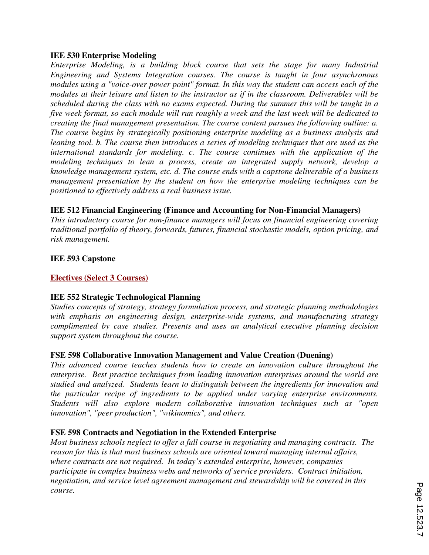### **IEE 530 Enterprise Modeling**

*Enterprise Modeling, is a building block course that sets the stage for many Industrial Engineering and Systems Integration courses. The course is taught in four asynchronous modules using a "voice-over power point" format. In this way the student can access each of the modules at their leisure and listen to the instructor as if in the classroom. Deliverables will be scheduled during the class with no exams expected. During the summer this will be taught in a five week format, so each module will run roughly a week and the last week will be dedicated to creating the final management presentation. The course content pursues the following outline: a. The course begins by strategically positioning enterprise modeling as a business analysis and leaning tool. b. The course then introduces a series of modeling techniques that are used as the international standards for modeling. c. The course continues with the application of the modeling techniques to lean a process, create an integrated supply network, develop a knowledge management system, etc. d. The course ends with a capstone deliverable of a business management presentation by the student on how the enterprise modeling techniques can be positioned to effectively address a real business issue.*

# **IEE 512 Financial Engineering (Finance and Accounting for Non-Financial Managers)**

*This introductory course for non-finance managers will focus on financial engineering covering traditional portfolio of theory, forwards, futures, financial stochastic models, option pricing, and risk management.* 

### **IEE 593 Capstone**

### **Electives (Select 3 Courses)**

### **IEE 552 Strategic Technological Planning**

*Studies concepts of strategy, strategy formulation process, and strategic planning methodologies with emphasis on engineering design, enterprise-wide systems, and manufacturing strategy complimented by case studies. Presents and uses an analytical executive planning decision support system throughout the course.* 

### **FSE 598 Collaborative Innovation Management and Value Creation (Duening)**

*This advanced course teaches students how to create an innovation culture throughout the enterprise. Best practice techniques from leading innovation enterprises around the world are studied and analyzed. Students learn to distinguish between the ingredients for innovation and the particular recipe of ingredients to be applied under varying enterprise environments. Students will also explore modern collaborative innovation techniques such as "open innovation", "peer production", "wikinomics", and others.* 

# **FSE 598 Contracts and Negotiation in the Extended Enterprise**

*Most business schools neglect to offer a full course in negotiating and managing contracts. The reason for this is that most business schools are oriented toward managing internal affairs, where contracts are not required. In today's extended enterprise, however, companies participate in complex business webs and networks of service providers. Contract initiation, negotiation, and service level agreement management and stewardship will be covered in this course.*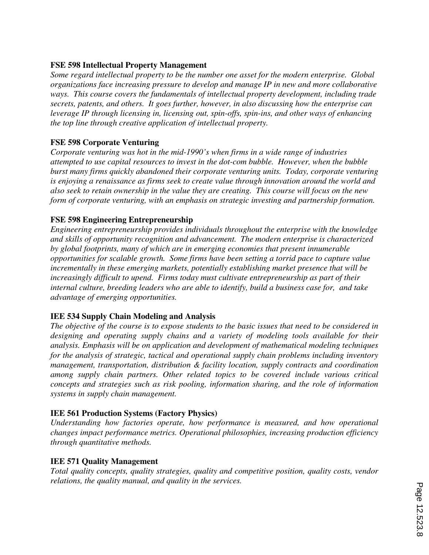### **FSE 598 Intellectual Property Management**

*Some regard intellectual property to be the number one asset for the modern enterprise. Global organizations face increasing pressure to develop and manage IP in new and more collaborative ways. This course covers the fundamentals of intellectual property development, including trade secrets, patents, and others. It goes further, however, in also discussing how the enterprise can leverage IP through licensing in, licensing out, spin-offs, spin-ins, and other ways of enhancing the top line through creative application of intellectual property.* 

# **FSE 598 Corporate Venturing**

*Corporate venturing was hot in the mid-1990's when firms in a wide range of industries attempted to use capital resources to invest in the dot-com bubble. However, when the bubble burst many firms quickly abandoned their corporate venturing units. Today, corporate venturing is enjoying a renaissance as firms seek to create value through innovation around the world and also seek to retain ownership in the value they are creating. This course will focus on the new form of corporate venturing, with an emphasis on strategic investing and partnership formation.* 

### **FSE 598 Engineering Entrepreneurship**

*Engineering entrepreneurship provides individuals throughout the enterprise with the knowledge and skills of opportunity recognition and advancement. The modern enterprise is characterized by global footprints, many of which are in emerging economies that present innumerable opportunities for scalable growth. Some firms have been setting a torrid pace to capture value incrementally in these emerging markets, potentially establishing market presence that will be increasingly difficult to upend. Firms today must cultivate entrepreneurship as part of their internal culture, breeding leaders who are able to identify, build a business case for, and take advantage of emerging opportunities.* 

### **IEE 534 Supply Chain Modeling and Analysis**

*The objective of the course is to expose students to the basic issues that need to be considered in designing and operating supply chains and a variety of modeling tools available for their analysis. Emphasis will be on application and development of mathematical modeling techniques for the analysis of strategic, tactical and operational supply chain problems including inventory management, transportation, distribution & facility location, supply contracts and coordination among supply chain partners. Other related topics to be covered include various critical concepts and strategies such as risk pooling, information sharing, and the role of information systems in supply chain management.* 

### **IEE 561 Production Systems (Factory Physics)**

*Understanding how factories operate, how performance is measured, and how operational changes impact performance metrics. Operational philosophies, increasing production efficiency through quantitative methods.* 

### **IEE 571 Quality Management**

*Total quality concepts, quality strategies, quality and competitive position, quality costs, vendor relations, the quality manual, and quality in the services.*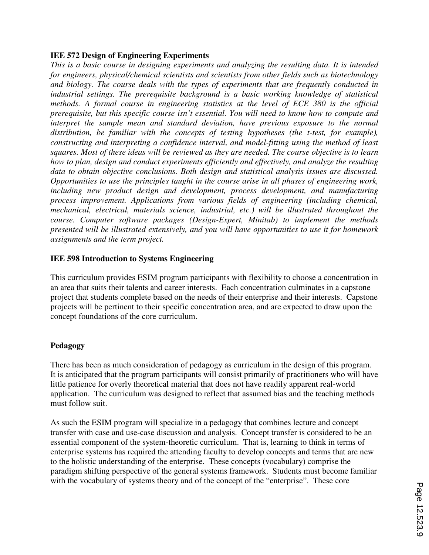### **IEE 572 Design of Engineering Experiments**

*This is a basic course in designing experiments and analyzing the resulting data. It is intended for engineers, physical/chemical scientists and scientists from other fields such as biotechnology and biology. The course deals with the types of experiments that are frequently conducted in industrial settings. The prerequisite background is a basic working knowledge of statistical methods. A formal course in engineering statistics at the level of ECE 380 is the official prerequisite, but this specific course isn't essential. You will need to know how to compute and interpret the sample mean and standard deviation, have previous exposure to the normal distribution, be familiar with the concepts of testing hypotheses (the t-test, for example), constructing and interpreting a confidence interval, and model-fitting using the method of least squares. Most of these ideas will be reviewed as they are needed. The course objective is to learn how to plan, design and conduct experiments efficiently and effectively, and analyze the resulting data to obtain objective conclusions. Both design and statistical analysis issues are discussed. Opportunities to use the principles taught in the course arise in all phases of engineering work, including new product design and development, process development, and manufacturing process improvement. Applications from various fields of engineering (including chemical, mechanical, electrical, materials science, industrial, etc.) will be illustrated throughout the course. Computer software packages (Design-Expert, Minitab) to implement the methods presented will be illustrated extensively, and you will have opportunities to use it for homework assignments and the term project.*

# **IEE 598 Introduction to Systems Engineering**

This curriculum provides ESIM program participants with flexibility to choose a concentration in an area that suits their talents and career interests. Each concentration culminates in a capstone project that students complete based on the needs of their enterprise and their interests. Capstone projects will be pertinent to their specific concentration area, and are expected to draw upon the concept foundations of the core curriculum.

# **Pedagogy**

There has been as much consideration of pedagogy as curriculum in the design of this program. It is anticipated that the program participants will consist primarily of practitioners who will have little patience for overly theoretical material that does not have readily apparent real-world application. The curriculum was designed to reflect that assumed bias and the teaching methods must follow suit.

As such the ESIM program will specialize in a pedagogy that combines lecture and concept transfer with case and use-case discussion and analysis. Concept transfer is considered to be an essential component of the system-theoretic curriculum. That is, learning to think in terms of enterprise systems has required the attending faculty to develop concepts and terms that are new to the holistic understanding of the enterprise. These concepts (vocabulary) comprise the paradigm shifting perspective of the general systems framework. Students must become familiar with the vocabulary of systems theory and of the concept of the "enterprise". These core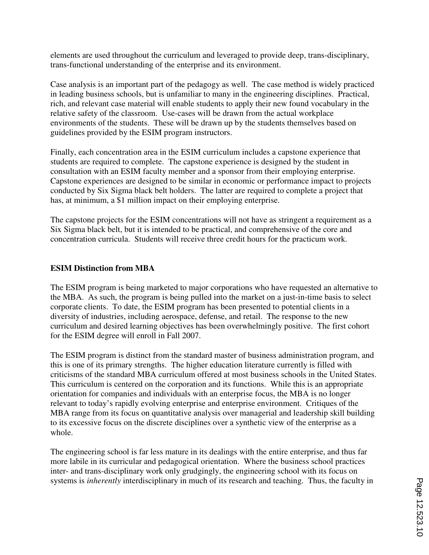elements are used throughout the curriculum and leveraged to provide deep, trans-disciplinary, trans-functional understanding of the enterprise and its environment.

Case analysis is an important part of the pedagogy as well. The case method is widely practiced in leading business schools, but is unfamiliar to many in the engineering disciplines. Practical, rich, and relevant case material will enable students to apply their new found vocabulary in the relative safety of the classroom. Use-cases will be drawn from the actual workplace environments of the students. These will be drawn up by the students themselves based on guidelines provided by the ESIM program instructors.

Finally, each concentration area in the ESIM curriculum includes a capstone experience that students are required to complete. The capstone experience is designed by the student in consultation with an ESIM faculty member and a sponsor from their employing enterprise. Capstone experiences are designed to be similar in economic or performance impact to projects conducted by Six Sigma black belt holders. The latter are required to complete a project that has, at minimum, a \$1 million impact on their employing enterprise.

The capstone projects for the ESIM concentrations will not have as stringent a requirement as a Six Sigma black belt, but it is intended to be practical, and comprehensive of the core and concentration curricula. Students will receive three credit hours for the practicum work.

# **ESIM Distinction from MBA**

The ESIM program is being marketed to major corporations who have requested an alternative to the MBA. As such, the program is being pulled into the market on a just-in-time basis to select corporate clients. To date, the ESIM program has been presented to potential clients in a diversity of industries, including aerospace, defense, and retail. The response to the new curriculum and desired learning objectives has been overwhelmingly positive. The first cohort for the ESIM degree will enroll in Fall 2007.

The ESIM program is distinct from the standard master of business administration program, and this is one of its primary strengths. The higher education literature currently is filled with criticisms of the standard MBA curriculum offered at most business schools in the United States. This curriculum is centered on the corporation and its functions. While this is an appropriate orientation for companies and individuals with an enterprise focus, the MBA is no longer relevant to today's rapidly evolving enterprise and enterprise environment. Critiques of the MBA range from its focus on quantitative analysis over managerial and leadership skill building to its excessive focus on the discrete disciplines over a synthetic view of the enterprise as a whole.

The engineering school is far less mature in its dealings with the entire enterprise, and thus far more labile in its curricular and pedagogical orientation. Where the business school practices inter- and trans-disciplinary work only grudgingly, the engineering school with its focus on systems is *inherently* interdisciplinary in much of its research and teaching. Thus, the faculty in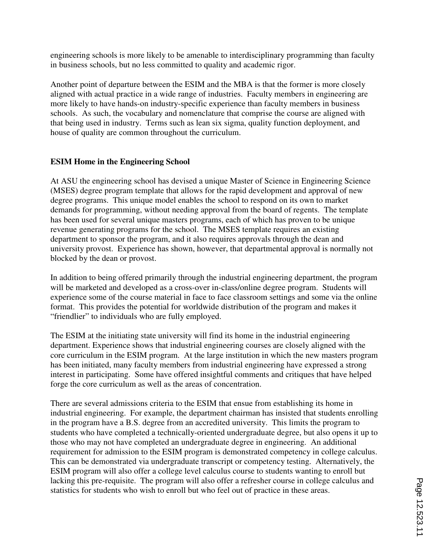engineering schools is more likely to be amenable to interdisciplinary programming than faculty in business schools, but no less committed to quality and academic rigor.

Another point of departure between the ESIM and the MBA is that the former is more closely aligned with actual practice in a wide range of industries. Faculty members in engineering are more likely to have hands-on industry-specific experience than faculty members in business schools. As such, the vocabulary and nomenclature that comprise the course are aligned with that being used in industry. Terms such as lean six sigma, quality function deployment, and house of quality are common throughout the curriculum.

# **ESIM Home in the Engineering School**

At ASU the engineering school has devised a unique Master of Science in Engineering Science (MSES) degree program template that allows for the rapid development and approval of new degree programs. This unique model enables the school to respond on its own to market demands for programming, without needing approval from the board of regents. The template has been used for several unique masters programs, each of which has proven to be unique revenue generating programs for the school. The MSES template requires an existing department to sponsor the program, and it also requires approvals through the dean and university provost. Experience has shown, however, that departmental approval is normally not blocked by the dean or provost.

In addition to being offered primarily through the industrial engineering department, the program will be marketed and developed as a cross-over in-class/online degree program. Students will experience some of the course material in face to face classroom settings and some via the online format. This provides the potential for worldwide distribution of the program and makes it "friendlier" to individuals who are fully employed.

The ESIM at the initiating state university will find its home in the industrial engineering department. Experience shows that industrial engineering courses are closely aligned with the core curriculum in the ESIM program. At the large institution in which the new masters program has been initiated, many faculty members from industrial engineering have expressed a strong interest in participating. Some have offered insightful comments and critiques that have helped forge the core curriculum as well as the areas of concentration.

There are several admissions criteria to the ESIM that ensue from establishing its home in industrial engineering. For example, the department chairman has insisted that students enrolling in the program have a B.S. degree from an accredited university. This limits the program to students who have completed a technically-oriented undergraduate degree, but also opens it up to those who may not have completed an undergraduate degree in engineering. An additional requirement for admission to the ESIM program is demonstrated competency in college calculus. This can be demonstrated via undergraduate transcript or competency testing. Alternatively, the ESIM program will also offer a college level calculus course to students wanting to enroll but lacking this pre-requisite. The program will also offer a refresher course in college calculus and statistics for students who wish to enroll but who feel out of practice in these areas.